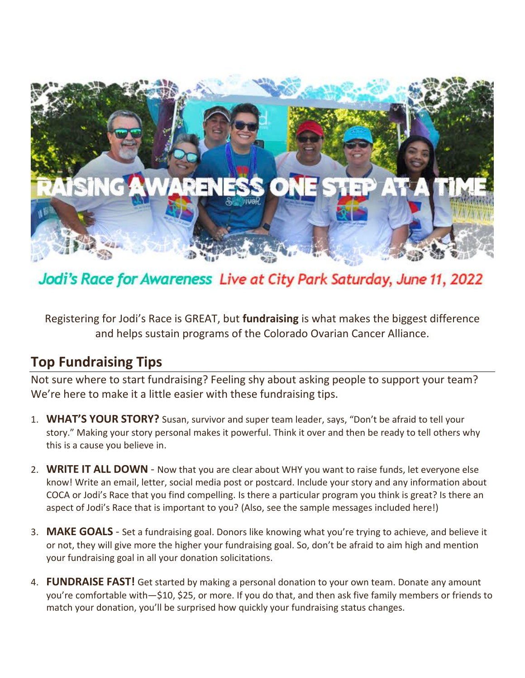

Jodi's Race for Awareness Live at City Park Saturday, June 11, 2022

Registering for Jodi's Race is GREAT, but **fundraising** is what makes the biggest difference and helps sustain programs of the Colorado Ovarian Cancer Alliance.

#### **Top Fundraising Tips**

Not sure where to start fundraising? Feeling shy about asking people to support your team? We're here to make it a little easier with these fundraising tips.

- 1. **WHAT'S YOUR STORY?** Susan, survivor and super team leader, says, "Don't be afraid to tell your story." Making your story personal makes it powerful. Think it over and then be ready to tell others why this is a cause you believe in.
- 2. **WRITE IT ALL DOWN** Now that you are clear about WHY you want to raise funds, let everyone else know! Write an email, letter, social media post or postcard. Include your story and any information about COCA or Jodi's Race that you find compelling. Is there a particular program you think is great? Is there an aspect of Jodi's Race that is important to you? (Also, see the sample messages included here!)
- 3. **MAKE GOALS**  Set a fundraising goal. Donors like knowing what you're trying to achieve, and believe it or not, they will give more the higher your fundraising goal. So, don't be afraid to aim high and mention your fundraising goal in all your donation solicitations.
- 4. **FUNDRAISE FAST!** Get started by making a personal donation to your own team. Donate any amount you're comfortable with—\$10, \$25, or more. If you do that, and then ask five family members or friends to match your donation, you'll be surprised how quickly your fundraising status changes.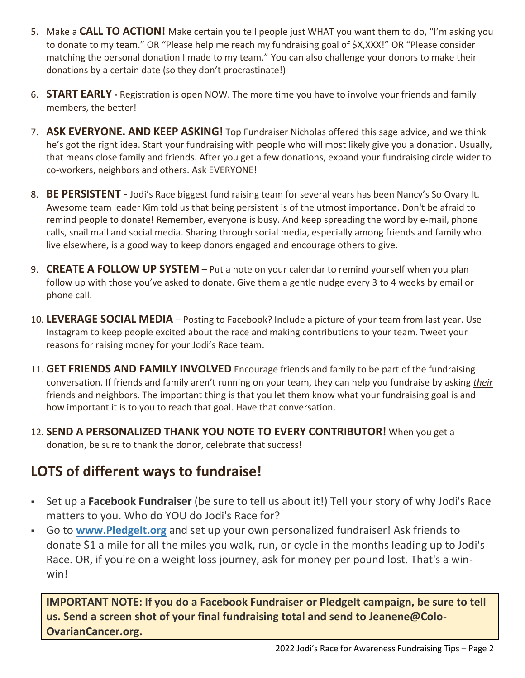- 5. Make a **CALL TO ACTION!** Make certain you tell people just WHAT you want them to do, "I'm asking you to donate to my team." OR "Please help me reach my fundraising goal of \$X,XXX!" OR "Please consider matching the personal donation I made to my team." You can also challenge your donors to make their donations by a certain date (so they don't procrastinate!)
- 6. **START EARLY -** Registration is open NOW. The more time you have to involve your friends and family members, the better!
- 7. **ASK EVERYONE. AND KEEP ASKING!** Top Fundraiser Nicholas offered this sage advice, and we think he's got the right idea. Start your fundraising with people who will most likely give you a donation. Usually, that means close family and friends. After you get a few donations, expand your fundraising circle wider to co-workers, neighbors and others. Ask EVERYONE!
- 8. **BE PERSISTENT** Jodi's Race biggest fund raising team for several years has been Nancy's So Ovary It. Awesome team leader Kim told us that being persistent is of the utmost importance. Don't be afraid to remind people to donate! Remember, everyone is busy. And keep spreading the word by e-mail, phone calls, snail mail and social media. Sharing through social media, especially among friends and family who live elsewhere, is a good way to keep donors engaged and encourage others to give.
- 9. **CREATE A FOLLOW UP SYSTEM** Put a note on your calendar to remind yourself when you plan follow up with those you've asked to donate. Give them a gentle nudge every 3 to 4 weeks by email or phone call.
- 10. **LEVERAGE SOCIAL MEDIA** Posting to Facebook? Include a picture of your team from last year. Use Instagram to keep people excited about the race and making contributions to your team. Tweet your reasons for raising money for your Jodi's Race team.
- 11. **GET FRIENDS AND FAMILY INVOLVED** Encourage friends and family to be part of the fundraising conversation. If friends and family aren't running on your team, they can help you fundraise by asking *their*  friends and neighbors. The important thing is that you let them know what your fundraising goal is and how important it is to you to reach that goal. Have that conversation.
- 12. **SEND A PERSONALIZED THANK YOU NOTE TO EVERY CONTRIBUTOR!** When you get a donation, be sure to thank the donor, celebrate that success!

### **LOTS of different ways to fundraise!**

- Set up a **Facebook Fundraiser** (be sure to tell us about it!) Tell your story of why Jodi's Race matters to you. Who do YOU do Jodi's Race for?
- Go to **[www.PledgeIt.org](http://www.pledgeit.org/)** and set up your own personalized fundraiser! Ask friends to donate \$1 a mile for all the miles you walk, run, or cycle in the months leading up to Jodi's Race. OR, if you're on a weight loss journey, ask for money per pound lost. That's a winwin!

**IMPORTANT NOTE: If you do a Facebook Fundraiser or PledgeIt campaign, be sure to tell us. Send a screen shot of your final fundraising total and send to Jeanene@Colo-OvarianCancer.org.**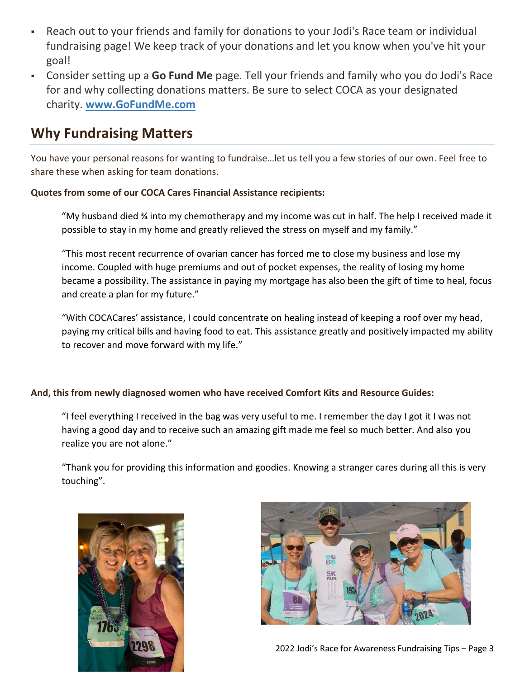- Reach out to your friends and family for donations to your Jodi's Race team or individual fundraising page! We keep track of your donations and let you know when you've hit your goal!
- Consider setting up a **Go Fund Me** page. Tell your friends and family who you do Jodi's Race for and why collecting donations matters. Be sure to select COCA as your designated charity. **[www.GoFundMe.com](http://www.gofundme.com/)**

#### **Why Fundraising Matters**

You have your personal reasons for wanting to fundraise…let us tell you a few stories of our own. Feel free to share these when asking for team donations.

#### **Quotes from some of our COCA Cares Financial Assistance recipients:**

"My husband died ¾ into my chemotherapy and my income was cut in half. The help I received made it possible to stay in my home and greatly relieved the stress on myself and my family."

"This most recent recurrence of ovarian cancer has forced me to close my business and lose my income. Coupled with huge premiums and out of pocket expenses, the reality of losing my home became a possibility. The assistance in paying my mortgage has also been the gift of time to heal, focus and create a plan for my future."

"With COCACares' assistance, I could concentrate on healing instead of keeping a roof over my head, paying my critical bills and having food to eat. This assistance greatly and positively impacted my ability to recover and move forward with my life."

#### **And, this from newly diagnosed women who have received Comfort Kits and Resource Guides:**

"I feel everything I received in the bag was very useful to me. I remember the day I got it I was not having a good day and to receive such an amazing gift made me feel so much better. And also you realize you are not alone."

"Thank you for providing this information and goodies. Knowing a stranger cares during all this is very touching".



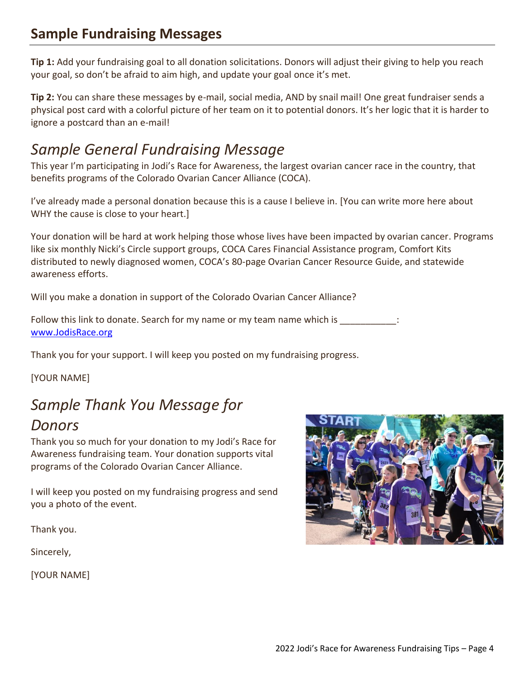### **Sample Fundraising Messages**

**Tip 1:** Add your fundraising goal to all donation solicitations. Donors will adjust their giving to help you reach your goal, so don't be afraid to aim high, and update your goal once it's met.

**Tip 2:** You can share these messages by e-mail, social media, AND by snail mail! One great fundraiser sends a physical post card with a colorful picture of her team on it to potential donors. It's her logic that it is harder to ignore a postcard than an e-mail!

## *Sample General Fundraising Message*

This year I'm participating in Jodi's Race for Awareness, the largest ovarian cancer race in the country, that benefits programs of the Colorado Ovarian Cancer Alliance (COCA).

I've already made a personal donation because this is a cause I believe in. [You can write more here about WHY the cause is close to your heart.]

Your donation will be hard at work helping those whose lives have been impacted by ovarian cancer. Programs like six monthly Nicki's Circle support groups, COCA Cares Financial Assistance program, Comfort Kits distributed to newly diagnosed women, COCA's 80-page Ovarian Cancer Resource Guide, and statewide awareness efforts.

Will you make a donation in support of the Colorado Ovarian Cancer Alliance?

Follow this link to donate. Search for my name or my team name which is \_\_\_\_\_\_\_\_\_\_ [www.JodisRace.org](http://www.jodisrace.org/)

Thank you for your support. I will keep you posted on my fundraising progress.

[YOUR NAME]

# *Sample Thank You Message for*

#### *Donors*

Thank you so much for your donation to my Jodi's Race for Awareness fundraising team. Your donation supports vital programs of the Colorado Ovarian Cancer Alliance.

I will keep you posted on my fundraising progress and send you a photo of the event.

Thank you.

Sincerely,

[YOUR NAME]

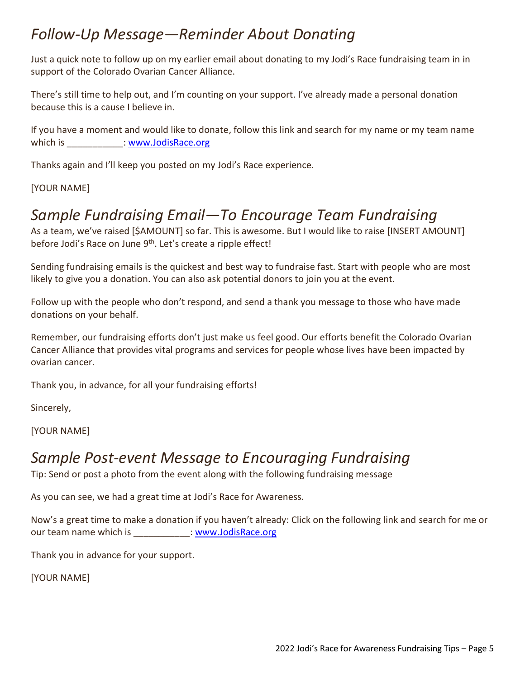## *Follow-Up Message—Reminder About Donating*

Just a quick note to follow up on my earlier email about donating to my Jodi's Race fundraising team in in support of the Colorado Ovarian Cancer Alliance.

There's still time to help out, and I'm counting on your support. I've already made a personal donation because this is a cause I believe in.

If you have a moment and would like to donate, follow this link and search for my name or my team name which is  $\cdot$  [www.JodisRace.org](http://www.jodisrace.org/)

Thanks again and I'll keep you posted on my Jodi's Race experience.

[YOUR NAME]

# *Sample Fundraising Email—To Encourage Team Fundraising*

As a team, we've raised [\$AMOUNT] so far. This is awesome. But I would like to raise [INSERT AMOUNT] before Jodi's Race on June 9<sup>th</sup>. Let's create a ripple effect!

Sending fundraising emails is the quickest and best way to fundraise fast. Start with people who are most likely to give you a donation. You can also ask potential donors to join you at the event.

Follow up with the people who don't respond, and send a thank you message to those who have made donations on your behalf.

Remember, our fundraising efforts don't just make us feel good. Our efforts benefit the Colorado Ovarian Cancer Alliance that provides vital programs and services for people whose lives have been impacted by ovarian cancer.

Thank you, in advance, for all your fundraising efforts!

Sincerely,

[YOUR NAME]

#### *Sample Post-event Message to Encouraging Fundraising*

Tip: Send or post a photo from the event along with the following fundraising message

As you can see, we had a great time at Jodi's Race for Awareness.

Now's a great time to make a donation if you haven't already: Click on the following link and search for me or our team name which is  $...$  [www.JodisRace.org](http://www.jodisrace.org/)

Thank you in advance for your support.

[YOUR NAME]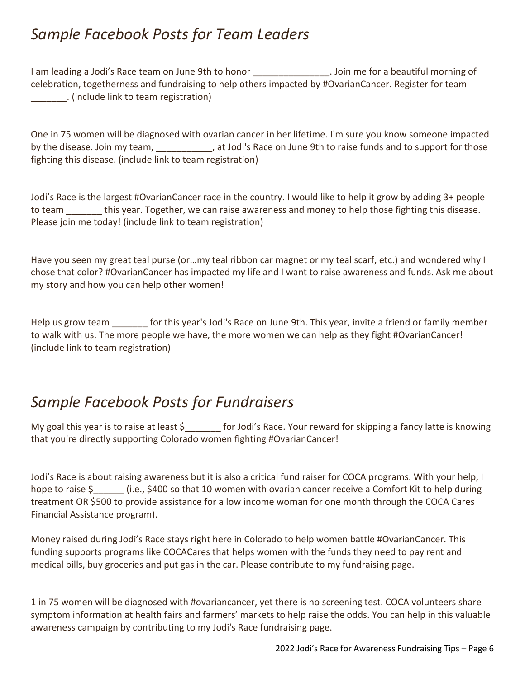## *Sample Facebook Posts for Team Leaders*

I am leading a Jodi's Race team on June 9th to honor \_\_\_\_\_\_\_\_\_\_\_\_\_\_\_\_\_\_. Join me for a beautiful morning of celebration, togetherness and fundraising to help others impacted by #OvarianCancer. Register for team \_\_\_\_\_\_\_. (include link to team registration)

One in 75 women will be diagnosed with ovarian cancer in her lifetime. I'm sure you know someone impacted by the disease. Join my team, \_\_\_\_\_\_\_\_\_\_, at Jodi's Race on June 9th to raise funds and to support for those fighting this disease. (include link to team registration)

Jodi's Race is the largest #OvarianCancer race in the country. I would like to help it grow by adding 3+ people to team this year. Together, we can raise awareness and money to help those fighting this disease. Please join me today! (include link to team registration)

Have you seen my great teal purse (or…my teal ribbon car magnet or my teal scarf, etc.) and wondered why I chose that color? #OvarianCancer has impacted my life and I want to raise awareness and funds. Ask me about my story and how you can help other women!

Help us grow team for this year's Jodi's Race on June 9th. This year, invite a friend or family member to walk with us. The more people we have, the more women we can help as they fight #OvarianCancer! (include link to team registration)

## *Sample Facebook Posts for Fundraisers*

My goal this year is to raise at least \$\_\_\_\_\_\_\_ for Jodi's Race. Your reward for skipping a fancy latte is knowing that you're directly supporting Colorado women fighting #OvarianCancer!

Jodi's Race is about raising awareness but it is also a critical fund raiser for COCA programs. With your help, I hope to raise \$ (i.e., \$400 so that 10 women with ovarian cancer receive a Comfort Kit to help during treatment OR \$500 to provide assistance for a low income woman for one month through the COCA Cares Financial Assistance program).

Money raised during Jodi's Race stays right here in Colorado to help women battle #OvarianCancer. This funding supports programs like COCACares that helps women with the funds they need to pay rent and medical bills, buy groceries and put gas in the car. Please contribute to my fundraising page.

1 in 75 women will be diagnosed with #ovariancancer, yet there is no screening test. COCA volunteers share symptom information at health fairs and farmers' markets to help raise the odds. You can help in this valuable awareness campaign by contributing to my Jodi's Race fundraising page.